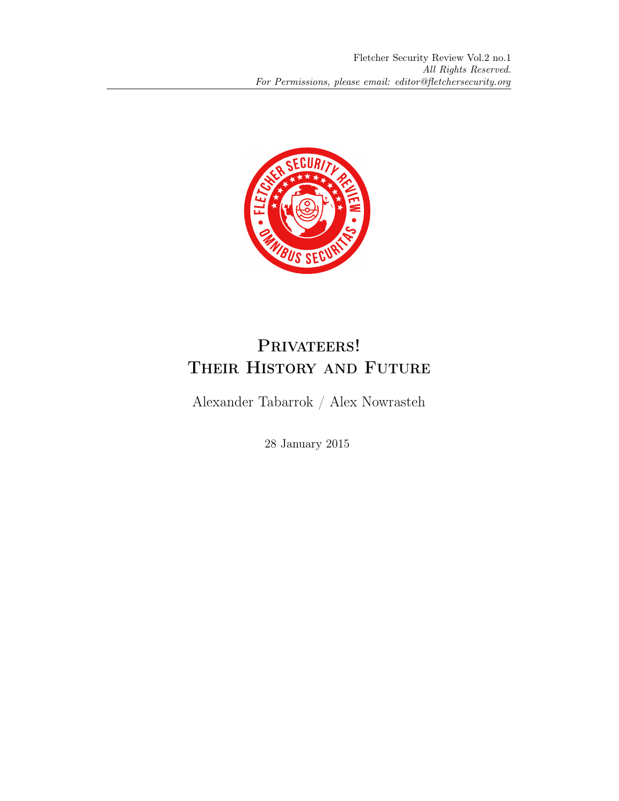

# PRIVATEERS! Their History and Future

Alexander Tabarrok / Alex Nowrasteh

28 January 2015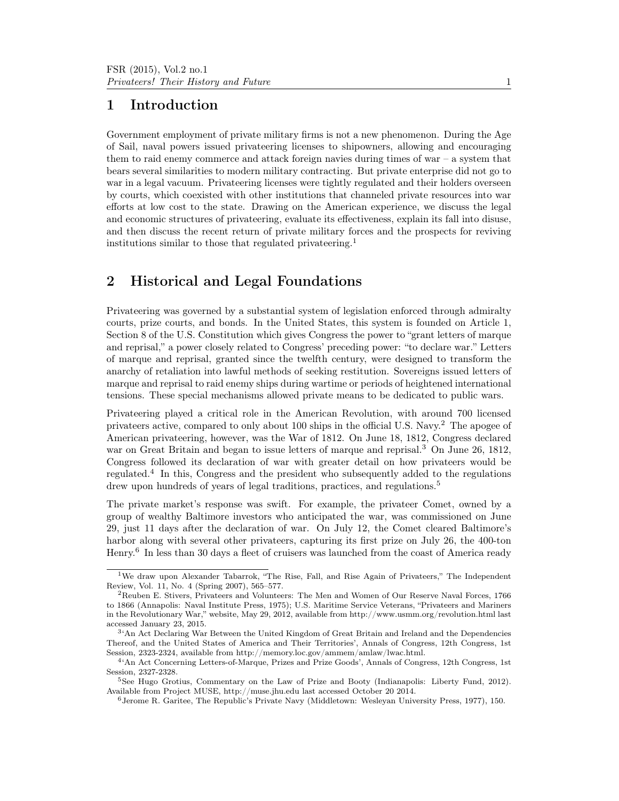### 1 Introduction

Government employment of private military firms is not a new phenomenon. During the Age of Sail, naval powers issued privateering licenses to shipowners, allowing and encouraging them to raid enemy commerce and attack foreign navies during times of war  $-$  a system that bears several similarities to modern military contracting. But private enterprise did not go to war in a legal vacuum. Privateering licenses were tightly regulated and their holders overseen by courts, which coexisted with other institutions that channeled private resources into war efforts at low cost to the state. Drawing on the American experience, we discuss the legal and economic structures of privateering, evaluate its effectiveness, explain its fall into disuse, and then discuss the recent return of private military forces and the prospects for reviving institutions similar to those that regulated privateering.<sup>1</sup>

## 2 Historical and Legal Foundations

Privateering was governed by a substantial system of legislation enforced through admiralty courts, prize courts, and bonds. In the United States, this system is founded on Article 1, Section 8 of the U.S. Constitution which gives Congress the power to "grant letters of marque and reprisal," a power closely related to Congress' preceding power: "to declare war." Letters of marque and reprisal, granted since the twelfth century, were designed to transform the anarchy of retaliation into lawful methods of seeking restitution. Sovereigns issued letters of marque and reprisal to raid enemy ships during wartime or periods of heightened international tensions. These special mechanisms allowed private means to be dedicated to public wars.

Privateering played a critical role in the American Revolution, with around 700 licensed privateers active, compared to only about 100 ships in the official U.S. Navy.<sup>2</sup> The apogee of American privateering, however, was the War of 1812. On June 18, 1812, Congress declared war on Great Britain and began to issue letters of marque and reprisal.<sup>3</sup> On June 26, 1812, Congress followed its declaration of war with greater detail on how privateers would be regulated.<sup>4</sup> In this, Congress and the president who subsequently added to the regulations drew upon hundreds of years of legal traditions, practices, and regulations.<sup>5</sup>

The private market's response was swift. For example, the privateer Comet, owned by a group of wealthy Baltimore investors who anticipated the war, was commissioned on June 29, just 11 days after the declaration of war. On July 12, the Comet cleared Baltimore's harbor along with several other privateers, capturing its first prize on July 26, the 400-ton Henry.<sup>6</sup> In less than 30 days a fleet of cruisers was launched from the coast of America ready

<sup>1</sup>We draw upon Alexander Tabarrok, "The Rise, Fall, and Rise Again of Privateers," The Independent Review, Vol. 11, No. 4 (Spring 2007), 565–577.

<sup>2</sup>Reuben E. Stivers, Privateers and Volunteers: The Men and Women of Our Reserve Naval Forces, 1766 to 1866 (Annapolis: Naval Institute Press, 1975); U.S. Maritime Service Veterans, "Privateers and Mariners in the Revolutionary War," website, May 29, 2012, available from http://www.usmm.org/revolution.html last accessed January 23, 2015.

<sup>&</sup>lt;sup>3</sup><sup>4</sup>An Act Declaring War Between the United Kingdom of Great Britain and Ireland and the Dependencies Thereof, and the United States of America and Their Territories', Annals of Congress, 12th Congress, 1st Session, 2323-2324, available from http://memory.loc.gov/ammem/amlaw/lwac.html.

<sup>4</sup> 'An Act Concerning Letters-of-Marque, Prizes and Prize Goods', Annals of Congress, 12th Congress, 1st Session, 2327-2328.

<sup>5</sup>See Hugo Grotius, Commentary on the Law of Prize and Booty (Indianapolis: Liberty Fund, 2012). Available from Project MUSE, http://muse.jhu.edu last accessed October 20 2014.

<sup>6</sup>Jerome R. Garitee, The Republic's Private Navy (Middletown: Wesleyan University Press, 1977), 150.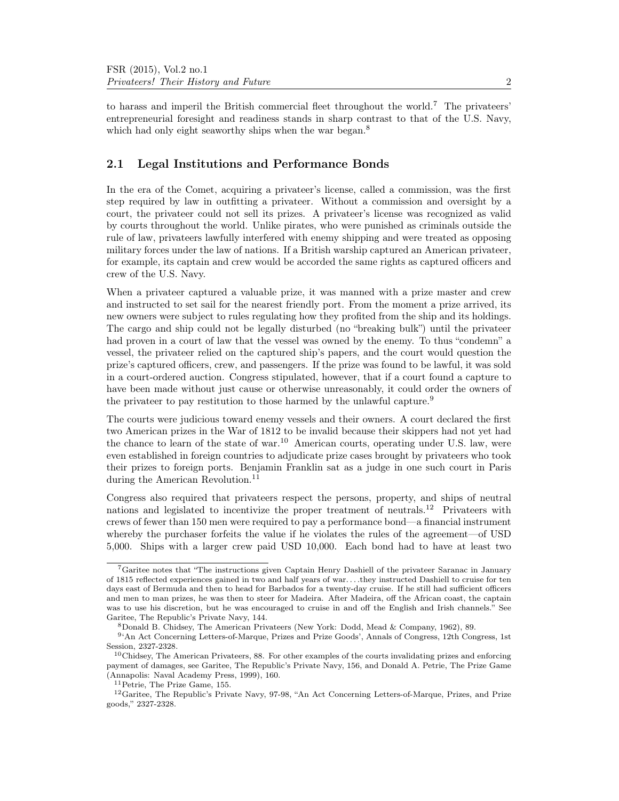to harass and imperil the British commercial fleet throughout the world.<sup>7</sup> The privateers' entrepreneurial foresight and readiness stands in sharp contrast to that of the U.S. Navy, which had only eight seaworthy ships when the war began.<sup>8</sup>

### 2.1 Legal Institutions and Performance Bonds

In the era of the Comet, acquiring a privateer's license, called a commission, was the first step required by law in outfitting a privateer. Without a commission and oversight by a court, the privateer could not sell its prizes. A privateer's license was recognized as valid by courts throughout the world. Unlike pirates, who were punished as criminals outside the rule of law, privateers lawfully interfered with enemy shipping and were treated as opposing military forces under the law of nations. If a British warship captured an American privateer, for example, its captain and crew would be accorded the same rights as captured officers and crew of the U.S. Navy.

When a privateer captured a valuable prize, it was manned with a prize master and crew and instructed to set sail for the nearest friendly port. From the moment a prize arrived, its new owners were subject to rules regulating how they profited from the ship and its holdings. The cargo and ship could not be legally disturbed (no "breaking bulk") until the privateer had proven in a court of law that the vessel was owned by the enemy. To thus "condemn" a vessel, the privateer relied on the captured ship's papers, and the court would question the prize's captured officers, crew, and passengers. If the prize was found to be lawful, it was sold in a court-ordered auction. Congress stipulated, however, that if a court found a capture to have been made without just cause or otherwise unreasonably, it could order the owners of the privateer to pay restitution to those harmed by the unlawful capture.<sup>9</sup>

The courts were judicious toward enemy vessels and their owners. A court declared the first two American prizes in the War of 1812 to be invalid because their skippers had not yet had the chance to learn of the state of war.<sup>10</sup> American courts, operating under U.S. law, were even established in foreign countries to adjudicate prize cases brought by privateers who took their prizes to foreign ports. Benjamin Franklin sat as a judge in one such court in Paris during the American Revolution.<sup>11</sup>

Congress also required that privateers respect the persons, property, and ships of neutral nations and legislated to incentivize the proper treatment of neutrals.<sup>12</sup> Privateers with crews of fewer than 150 men were required to pay a performance bond—a financial instrument whereby the purchaser forfeits the value if he violates the rules of the agreement—of USD 5,000. Ships with a larger crew paid USD 10,000. Each bond had to have at least two

<sup>7</sup>Garitee notes that "The instructions given Captain Henry Dashiell of the privateer Saranac in January of 1815 reflected experiences gained in two and half years of war. . . .they instructed Dashiell to cruise for ten days east of Bermuda and then to head for Barbados for a twenty-day cruise. If he still had sufficient officers and men to man prizes, he was then to steer for Madeira. After Madeira, off the African coast, the captain was to use his discretion, but he was encouraged to cruise in and off the English and Irish channels." See Garitee, The Republic's Private Navy, 144.

<sup>8</sup>Donald B. Chidsey, The American Privateers (New York: Dodd, Mead & Company, 1962), 89.

<sup>&</sup>lt;sup>9</sup>'An Act Concerning Letters-of-Marque, Prizes and Prize Goods', Annals of Congress, 12th Congress, 1st Session, 2327-2328.

 $10$ Chidsey, The American Privateers, 88. For other examples of the courts invalidating prizes and enforcing payment of damages, see Garitee, The Republic's Private Navy, 156, and Donald A. Petrie, The Prize Game (Annapolis: Naval Academy Press, 1999), 160.

<sup>11</sup>Petrie, The Prize Game, 155.

<sup>12</sup>Garitee, The Republic's Private Navy, 97-98, "An Act Concerning Letters-of-Marque, Prizes, and Prize goods," 2327-2328.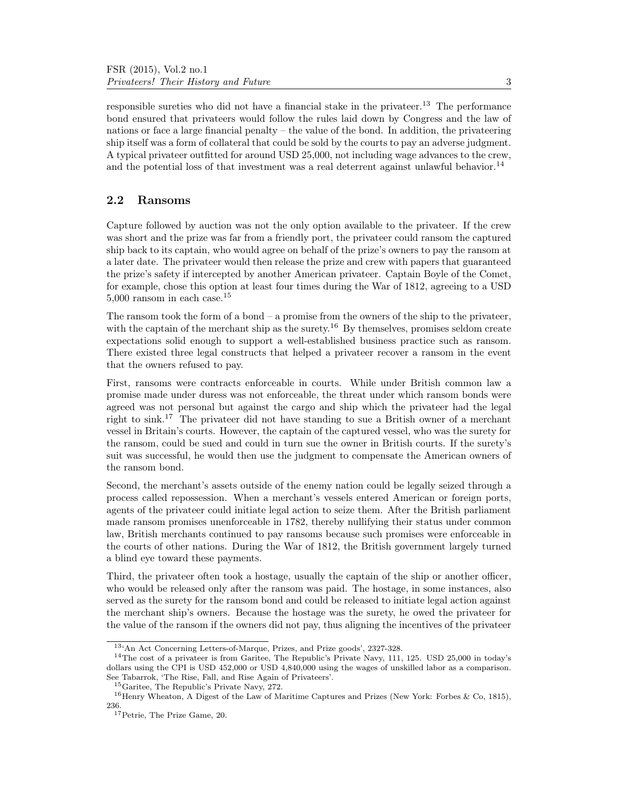responsible sureties who did not have a financial stake in the privateer.<sup>13</sup> The performance bond ensured that privateers would follow the rules laid down by Congress and the law of nations or face a large financial penalty – the value of the bond. In addition, the privateering ship itself was a form of collateral that could be sold by the courts to pay an adverse judgment. A typical privateer outfitted for around USD 25,000, not including wage advances to the crew, and the potential loss of that investment was a real deterrent against unlawful behavior.<sup>14</sup>

### 2.2 Ransoms

Capture followed by auction was not the only option available to the privateer. If the crew was short and the prize was far from a friendly port, the privateer could ransom the captured ship back to its captain, who would agree on behalf of the prize's owners to pay the ransom at a later date. The privateer would then release the prize and crew with papers that guaranteed the prize's safety if intercepted by another American privateer. Captain Boyle of the Comet, for example, chose this option at least four times during the War of 1812, agreeing to a USD 5,000 ransom in each case.<sup>15</sup>

The ransom took the form of a bond – a promise from the owners of the ship to the privateer, with the captain of the merchant ship as the surety.<sup>16</sup> By themselves, promises seldom create expectations solid enough to support a well-established business practice such as ransom. There existed three legal constructs that helped a privateer recover a ransom in the event that the owners refused to pay.

First, ransoms were contracts enforceable in courts. While under British common law a promise made under duress was not enforceable, the threat under which ransom bonds were agreed was not personal but against the cargo and ship which the privateer had the legal right to sink.<sup>17</sup> The privateer did not have standing to sue a British owner of a merchant vessel in Britain's courts. However, the captain of the captured vessel, who was the surety for the ransom, could be sued and could in turn sue the owner in British courts. If the surety's suit was successful, he would then use the judgment to compensate the American owners of the ransom bond.

Second, the merchant's assets outside of the enemy nation could be legally seized through a process called repossession. When a merchant's vessels entered American or foreign ports, agents of the privateer could initiate legal action to seize them. After the British parliament made ransom promises unenforceable in 1782, thereby nullifying their status under common law, British merchants continued to pay ransoms because such promises were enforceable in the courts of other nations. During the War of 1812, the British government largely turned a blind eye toward these payments.

Third, the privateer often took a hostage, usually the captain of the ship or another officer, who would be released only after the ransom was paid. The hostage, in some instances, also served as the surety for the ransom bond and could be released to initiate legal action against the merchant ship's owners. Because the hostage was the surety, he owed the privateer for the value of the ransom if the owners did not pay, thus aligning the incentives of the privateer

<sup>13</sup>'An Act Concerning Letters-of-Marque, Prizes, and Prize goods', 2327-328.

<sup>14</sup>The cost of a privateer is from Garitee, The Republic's Private Navy, 111, 125. USD 25,000 in today's dollars using the CPI is USD 452,000 or USD 4,840,000 using the wages of unskilled labor as a comparison. See Tabarrok, 'The Rise, Fall, and Rise Again of Privateers'.

<sup>15</sup>Garitee, The Republic's Private Navy, 272.

<sup>&</sup>lt;sup>16</sup>Henry Wheaton, A Digest of the Law of Maritime Captures and Prizes (New York: Forbes & Co, 1815), 236.

<sup>17</sup>Petrie, The Prize Game, 20.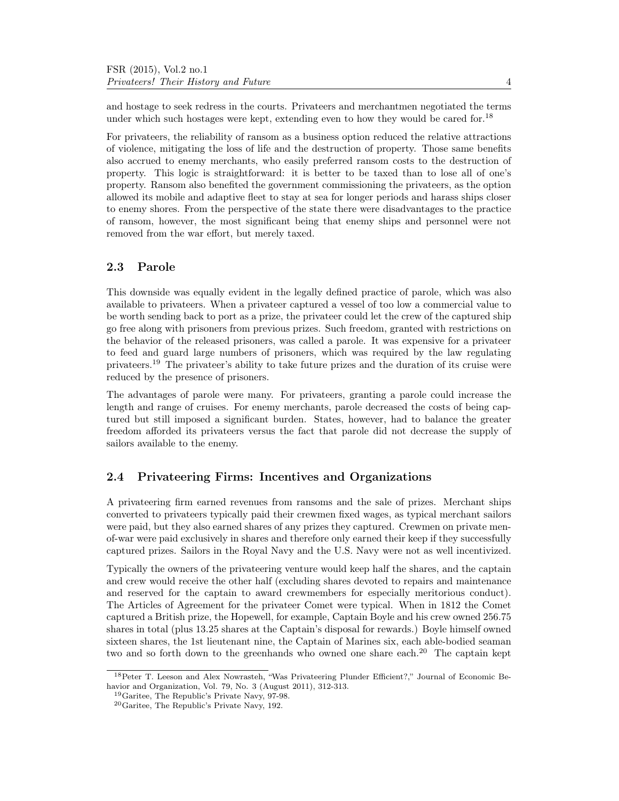and hostage to seek redress in the courts. Privateers and merchantmen negotiated the terms under which such hostages were kept, extending even to how they would be cared for.<sup>18</sup>

For privateers, the reliability of ransom as a business option reduced the relative attractions of violence, mitigating the loss of life and the destruction of property. Those same benefits also accrued to enemy merchants, who easily preferred ransom costs to the destruction of property. This logic is straightforward: it is better to be taxed than to lose all of one's property. Ransom also benefited the government commissioning the privateers, as the option allowed its mobile and adaptive fleet to stay at sea for longer periods and harass ships closer to enemy shores. From the perspective of the state there were disadvantages to the practice of ransom, however, the most significant being that enemy ships and personnel were not removed from the war effort, but merely taxed.

#### 2.3 Parole

This downside was equally evident in the legally defined practice of parole, which was also available to privateers. When a privateer captured a vessel of too low a commercial value to be worth sending back to port as a prize, the privateer could let the crew of the captured ship go free along with prisoners from previous prizes. Such freedom, granted with restrictions on the behavior of the released prisoners, was called a parole. It was expensive for a privateer to feed and guard large numbers of prisoners, which was required by the law regulating privateers.<sup>19</sup> The privateer's ability to take future prizes and the duration of its cruise were reduced by the presence of prisoners.

The advantages of parole were many. For privateers, granting a parole could increase the length and range of cruises. For enemy merchants, parole decreased the costs of being captured but still imposed a significant burden. States, however, had to balance the greater freedom afforded its privateers versus the fact that parole did not decrease the supply of sailors available to the enemy.

#### 2.4 Privateering Firms: Incentives and Organizations

A privateering firm earned revenues from ransoms and the sale of prizes. Merchant ships converted to privateers typically paid their crewmen fixed wages, as typical merchant sailors were paid, but they also earned shares of any prizes they captured. Crewmen on private menof-war were paid exclusively in shares and therefore only earned their keep if they successfully captured prizes. Sailors in the Royal Navy and the U.S. Navy were not as well incentivized.

Typically the owners of the privateering venture would keep half the shares, and the captain and crew would receive the other half (excluding shares devoted to repairs and maintenance and reserved for the captain to award crewmembers for especially meritorious conduct). The Articles of Agreement for the privateer Comet were typical. When in 1812 the Comet captured a British prize, the Hopewell, for example, Captain Boyle and his crew owned 256.75 shares in total (plus 13.25 shares at the Captain's disposal for rewards.) Boyle himself owned sixteen shares, the 1st lieutenant nine, the Captain of Marines six, each able-bodied seaman two and so forth down to the greenhands who owned one share each.<sup>20</sup> The captain kept

<sup>18</sup>Peter T. Leeson and Alex Nowrasteh, "Was Privateering Plunder Efficient?," Journal of Economic Behavior and Organization, Vol. 79, No. 3 (August 2011), 312-313.

<sup>19</sup>Garitee, The Republic's Private Navy, 97-98.

<sup>20</sup>Garitee, The Republic's Private Navy, 192.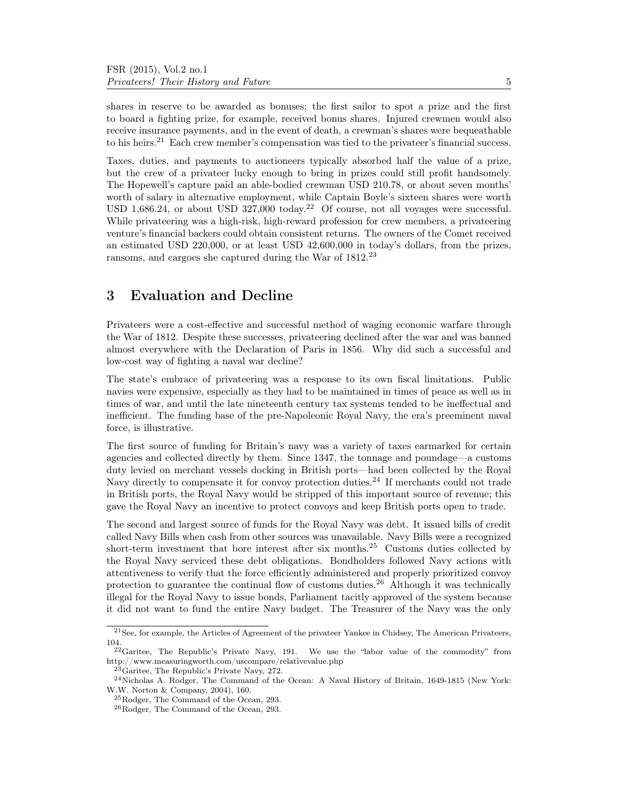shares in reserve to be awarded as bonuses; the first sailor to spot a prize and the first to board a fighting prize, for example, received bonus shares. Injured crewmen would also receive insurance payments, and in the event of death, a crewman's shares were bequeathable to his heirs.<sup>21</sup> Each crew member's compensation was tied to the privateer's financial success.

Taxes, duties, and payments to auctioneers typically absorbed half the value of a prize, but the crew of a privateer lucky enough to bring in prizes could still profit handsomely. The Hopewell's capture paid an able-bodied crewman USD 210.78, or about seven months' worth of salary in alternative employment, while Captain Boyle's sixteen shares were worth USD 1,686.24, or about USD 327,000 today.<sup>22</sup> Of course, not all voyages were successful. While privateering was a high-risk, high-reward profession for crew members, a privateering venture's financial backers could obtain consistent returns. The owners of the Comet received an estimated USD 220,000, or at least USD 42,600,000 in today's dollars, from the prizes, ransoms, and cargoes she captured during the War of 1812.<sup>23</sup>

### 3 Evaluation and Decline

Privateers were a cost-effective and successful method of waging economic warfare through the War of 1812. Despite these successes, privateering declined after the war and was banned almost everywhere with the Declaration of Paris in 1856. Why did such a successful and low-cost way of fighting a naval war decline?

The state's embrace of privateering was a response to its own fiscal limitations. Public navies were expensive, especially as they had to be maintained in times of peace as well as in times of war, and until the late nineteenth century tax systems tended to be ineffectual and inefficient. The funding base of the pre-Napoleonic Royal Navy, the era's preeminent naval force, is illustrative.

The first source of funding for Britain's navy was a variety of taxes earmarked for certain agencies and collected directly by them. Since 1347, the tonnage and poundage—a customs duty levied on merchant vessels docking in British ports—had been collected by the Royal Navy directly to compensate it for convoy protection duties.<sup>24</sup> If merchants could not trade in British ports, the Royal Navy would be stripped of this important source of revenue; this gave the Royal Navy an incentive to protect convoys and keep British ports open to trade.

The second and largest source of funds for the Royal Navy was debt. It issued bills of credit called Navy Bills when cash from other sources was unavailable. Navy Bills were a recognized short-term investment that bore interest after six months.<sup>25</sup> Customs duties collected by the Royal Navy serviced these debt obligations. Bondholders followed Navy actions with attentiveness to verify that the force efficiently administered and properly prioritized convoy protection to guarantee the continual flow of customs duties.<sup>26</sup> Although it was technically illegal for the Royal Navy to issue bonds, Parliament tacitly approved of the system because it did not want to fund the entire Navy budget. The Treasurer of the Navy was the only

<sup>21</sup>See, for example, the Articles of Agreement of the privateer Yankee in Chidsey, The American Privateers, 104.

 $22$ Garitee, The Republic's Private Navy, 191. We use the "labor value of the commodity" from http://www.measuringworth.com/uscompare/relativevalue.php

 $23$ Garitee, The Republic's Private Navy, 272.

<sup>24</sup>Nicholas A. Rodger, The Command of the Ocean: A Naval History of Britain, 1649-1815 (New York: W.W. Norton & Company, 2004), 160.

<sup>25</sup>Rodger, The Command of the Ocean, 293.

<sup>26</sup>Rodger, The Command of the Ocean, 293.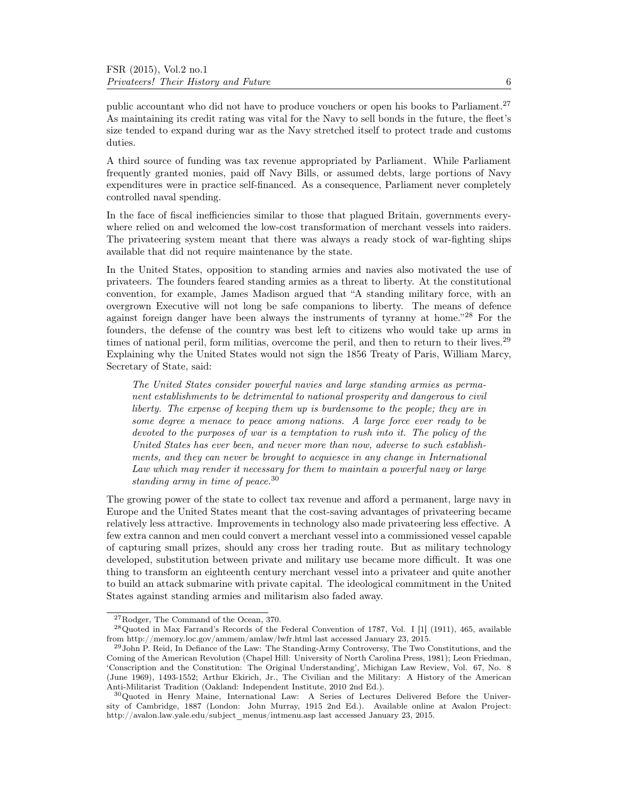public accountant who did not have to produce vouchers or open his books to Parliament.<sup>27</sup> As maintaining its credit rating was vital for the Navy to sell bonds in the future, the fleet's size tended to expand during war as the Navy stretched itself to protect trade and customs duties.

A third source of funding was tax revenue appropriated by Parliament. While Parliament frequently granted monies, paid off Navy Bills, or assumed debts, large portions of Navy expenditures were in practice self-financed. As a consequence, Parliament never completely controlled naval spending.

In the face of fiscal inefficiencies similar to those that plagued Britain, governments everywhere relied on and welcomed the low-cost transformation of merchant vessels into raiders. The privateering system meant that there was always a ready stock of war-fighting ships available that did not require maintenance by the state.

In the United States, opposition to standing armies and navies also motivated the use of privateers. The founders feared standing armies as a threat to liberty. At the constitutional convention, for example, James Madison argued that "A standing military force, with an overgrown Executive will not long be safe companions to liberty. The means of defence against foreign danger have been always the instruments of tyranny at home." $^{28}$  For the founders, the defense of the country was best left to citizens who would take up arms in times of national peril, form militias, overcome the peril, and then to return to their lives.<sup>29</sup> Explaining why the United States would not sign the 1856 Treaty of Paris, William Marcy, Secretary of State, said:

The United States consider powerful navies and large standing armies as permanent establishments to be detrimental to national prosperity and dangerous to civil liberty. The expense of keeping them up is burdensome to the people; they are in some degree a menace to peace among nations. A large force ever ready to be devoted to the purposes of war is a temptation to rush into it. The policy of the United States has ever been, and never more than now, adverse to such establishments, and they can never be brought to acquiesce in any change in International Law which may render it necessary for them to maintain a powerful navy or large standing army in time of peace.<sup>30</sup>

The growing power of the state to collect tax revenue and afford a permanent, large navy in Europe and the United States meant that the cost-saving advantages of privateering became relatively less attractive. Improvements in technology also made privateering less effective. A few extra cannon and men could convert a merchant vessel into a commissioned vessel capable of capturing small prizes, should any cross her trading route. But as military technology developed, substitution between private and military use became more difficult. It was one thing to transform an eighteenth century merchant vessel into a privateer and quite another to build an attack submarine with private capital. The ideological commitment in the United States against standing armies and militarism also faded away.

<sup>27</sup>Rodger, The Command of the Ocean, 370.

<sup>28</sup>Quoted in Max Farrand's Records of the Federal Convention of 1787, Vol. I [1] (1911), 465, available from http://memory.loc.gov/ammem/amlaw/lwfr.html last accessed January 23, 2015.

<sup>&</sup>lt;sup>29</sup>John P. Reid, In Defiance of the Law: The Standing-Army Controversy, The Two Constitutions, and the Coming of the American Revolution (Chapel Hill: University of North Carolina Press, 1981); Leon Friedman, 'Conscription and the Constitution: The Original Understanding', Michigan Law Review, Vol. 67, No. 8 (June 1969), 1493-1552; Arthur Ekirich, Jr., The Civilian and the Military: A History of the American Anti-Militarist Tradition (Oakland: Independent Institute, 2010 2nd Ed.).

<sup>&</sup>lt;sup>30</sup>Quoted in Henry Maine, International Law: A Series of Lectures Delivered Before the University of Cambridge, 1887 (London: John Murray, 1915 2nd Ed.). Available online at Avalon Project: http://avalon.law.yale.edu/subject\_menus/intmenu.asp last accessed January 23, 2015.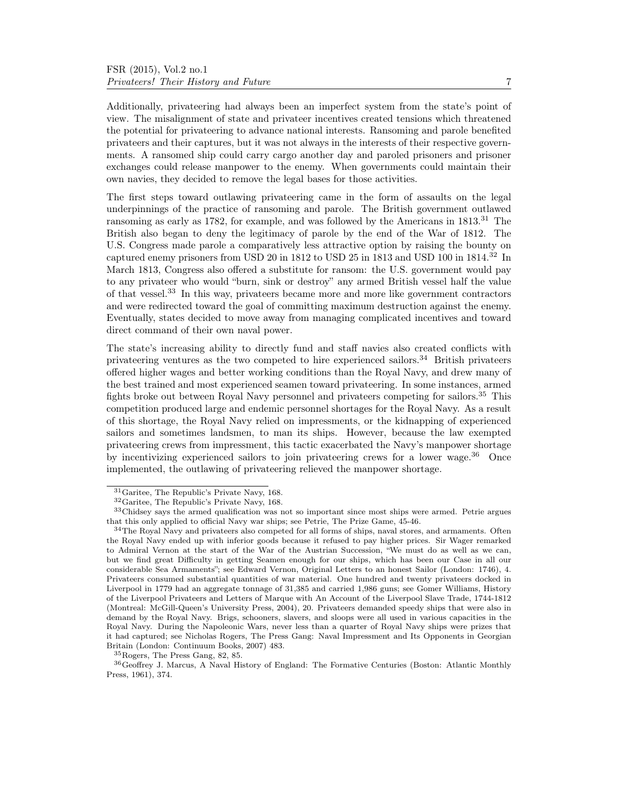Additionally, privateering had always been an imperfect system from the state's point of view. The misalignment of state and privateer incentives created tensions which threatened the potential for privateering to advance national interests. Ransoming and parole benefited privateers and their captures, but it was not always in the interests of their respective governments. A ransomed ship could carry cargo another day and paroled prisoners and prisoner exchanges could release manpower to the enemy. When governments could maintain their own navies, they decided to remove the legal bases for those activities.

The first steps toward outlawing privateering came in the form of assaults on the legal underpinnings of the practice of ransoming and parole. The British government outlawed ransoming as early as 1782, for example, and was followed by the Americans in 1813.<sup>31</sup> The British also began to deny the legitimacy of parole by the end of the War of 1812. The U.S. Congress made parole a comparatively less attractive option by raising the bounty on captured enemy prisoners from USD 20 in 1812 to USD 25 in 1813 and USD 100 in 1814.<sup>32</sup> In March 1813, Congress also offered a substitute for ransom: the U.S. government would pay to any privateer who would "burn, sink or destroy" any armed British vessel half the value of that vessel.<sup>33</sup> In this way, privateers became more and more like government contractors and were redirected toward the goal of committing maximum destruction against the enemy. Eventually, states decided to move away from managing complicated incentives and toward direct command of their own naval power.

The state's increasing ability to directly fund and staff navies also created conflicts with privateering ventures as the two competed to hire experienced sailors.<sup>34</sup> British privateers offered higher wages and better working conditions than the Royal Navy, and drew many of the best trained and most experienced seamen toward privateering. In some instances, armed fights broke out between Royal Navy personnel and privateers competing for sailors.<sup>35</sup> This competition produced large and endemic personnel shortages for the Royal Navy. As a result of this shortage, the Royal Navy relied on impressments, or the kidnapping of experienced sailors and sometimes landsmen, to man its ships. However, because the law exempted privateering crews from impressment, this tactic exacerbated the Navy's manpower shortage by incentivizing experienced sailors to join private ering crews for a lower wage.<sup>36</sup> Once implemented, the outlawing of privateering relieved the manpower shortage.

<sup>31</sup>Garitee, The Republic's Private Navy, 168.

<sup>32</sup>Garitee, The Republic's Private Navy, 168.

<sup>33</sup>Chidsey says the armed qualification was not so important since most ships were armed. Petrie argues that this only applied to official Navy war ships; see Petrie, The Prize Game, 45-46.

<sup>&</sup>lt;sup>34</sup>The Royal Navy and privateers also competed for all forms of ships, naval stores, and armaments. Often the Royal Navy ended up with inferior goods because it refused to pay higher prices. Sir Wager remarked to Admiral Vernon at the start of the War of the Austrian Succession, "We must do as well as we can, but we find great Difficulty in getting Seamen enough for our ships, which has been our Case in all our considerable Sea Armaments"; see Edward Vernon, Original Letters to an honest Sailor (London: 1746), 4. Privateers consumed substantial quantities of war material. One hundred and twenty privateers docked in Liverpool in 1779 had an aggregate tonnage of 31,385 and carried 1,986 guns; see Gomer Williams, History of the Liverpool Privateers and Letters of Marque with An Account of the Liverpool Slave Trade, 1744-1812 (Montreal: McGill-Queen's University Press, 2004), 20. Privateers demanded speedy ships that were also in demand by the Royal Navy. Brigs, schooners, slavers, and sloops were all used in various capacities in the Royal Navy. During the Napoleonic Wars, never less than a quarter of Royal Navy ships were prizes that it had captured; see Nicholas Rogers, The Press Gang: Naval Impressment and Its Opponents in Georgian Britain (London: Continuum Books, 2007) 483.

<sup>35</sup>Rogers, The Press Gang, 82, 85.

<sup>36</sup>Geoffrey J. Marcus, A Naval History of England: The Formative Centuries (Boston: Atlantic Monthly Press, 1961), 374.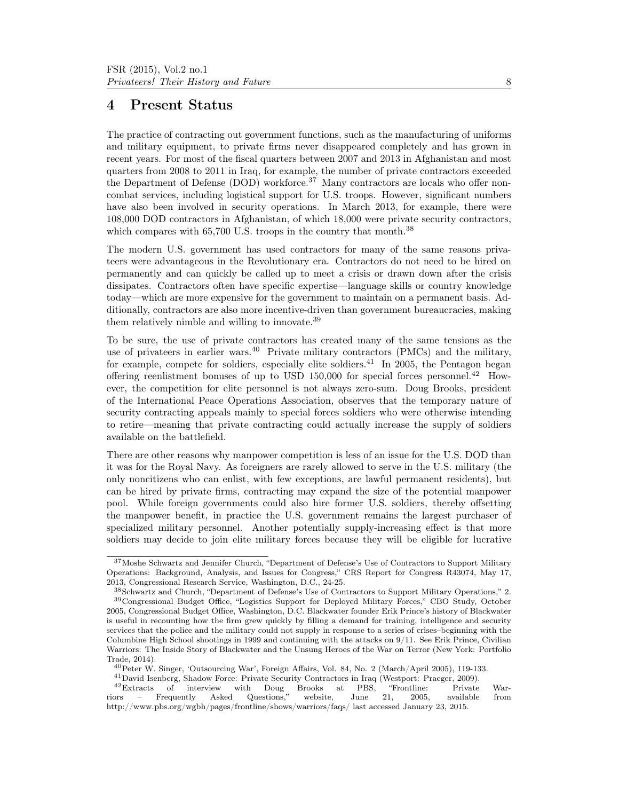### 4 Present Status

The practice of contracting out government functions, such as the manufacturing of uniforms and military equipment, to private firms never disappeared completely and has grown in recent years. For most of the fiscal quarters between 2007 and 2013 in Afghanistan and most quarters from 2008 to 2011 in Iraq, for example, the number of private contractors exceeded the Department of Defense (DOD) workforce.<sup>37</sup> Many contractors are locals who offer noncombat services, including logistical support for U.S. troops. However, significant numbers have also been involved in security operations. In March 2013, for example, there were 108,000 DOD contractors in Afghanistan, of which 18,000 were private security contractors, which compares with 65,700 U.S. troops in the country that month.<sup>38</sup>

The modern U.S. government has used contractors for many of the same reasons privateers were advantageous in the Revolutionary era. Contractors do not need to be hired on permanently and can quickly be called up to meet a crisis or drawn down after the crisis dissipates. Contractors often have specific expertise—language skills or country knowledge today—which are more expensive for the government to maintain on a permanent basis. Additionally, contractors are also more incentive-driven than government bureaucracies, making them relatively nimble and willing to innovate.<sup>39</sup>

To be sure, the use of private contractors has created many of the same tensions as the use of privateers in earlier wars.<sup>40</sup> Private military contractors (PMCs) and the military, for example, compete for soldiers, especially elite soldiers.<sup>41</sup> In 2005, the Pentagon began offering reenlistment bonuses of up to USD 150,000 for special forces personnel.<sup>42</sup> However, the competition for elite personnel is not always zero-sum. Doug Brooks, president of the International Peace Operations Association, observes that the temporary nature of security contracting appeals mainly to special forces soldiers who were otherwise intending to retire—meaning that private contracting could actually increase the supply of soldiers available on the battlefield.

There are other reasons why manpower competition is less of an issue for the U.S. DOD than it was for the Royal Navy. As foreigners are rarely allowed to serve in the U.S. military (the only noncitizens who can enlist, with few exceptions, are lawful permanent residents), but can be hired by private firms, contracting may expand the size of the potential manpower pool. While foreign governments could also hire former U.S. soldiers, thereby offsetting the manpower benefit, in practice the U.S. government remains the largest purchaser of specialized military personnel. Another potentially supply-increasing effect is that more soldiers may decide to join elite military forces because they will be eligible for lucrative

<sup>37</sup>Moshe Schwartz and Jennifer Church, "Department of Defense's Use of Contractors to Support Military Operations: Background, Analysis, and Issues for Congress," CRS Report for Congress R43074, May 17, 2013, Congressional Research Service, Washington, D.C., 24-25.

<sup>38</sup>Schwartz and Church, "Department of Defense's Use of Contractors to Support Military Operations," 2. <sup>39</sup>Congressional Budget Office, "Logistics Support for Deployed Military Forces," CBO Study, October 2005, Congressional Budget Office, Washington, D.C. Blackwater founder Erik Prince's history of Blackwater is useful in recounting how the firm grew quickly by filling a demand for training, intelligence and security services that the police and the military could not supply in response to a series of crises–beginning with the Columbine High School shootings in 1999 and continuing with the attacks on 9/11. See Erik Prince, Civilian Warriors: The Inside Story of Blackwater and the Unsung Heroes of the War on Terror (New York: Portfolio Trade, 2014).

<sup>40</sup>Peter W. Singer, 'Outsourcing War', Foreign Affairs, Vol. 84, No. 2 (March/April 2005), 119-133.

<sup>41</sup>David Isenberg, Shadow Force: Private Security Contractors in Iraq (Westport: Praeger, 2009).

 $^{42}$ Extracts of interview with Doug Brooks at PBS, "Frontline: Private War-<br>ors – Frequently Asked Questions," website, June 21, 2005, available from riors – Frequently Asked Questions," website, June 21, 2005, available from http://www.pbs.org/wgbh/pages/frontline/shows/warriors/faqs/ last accessed January 23, 2015.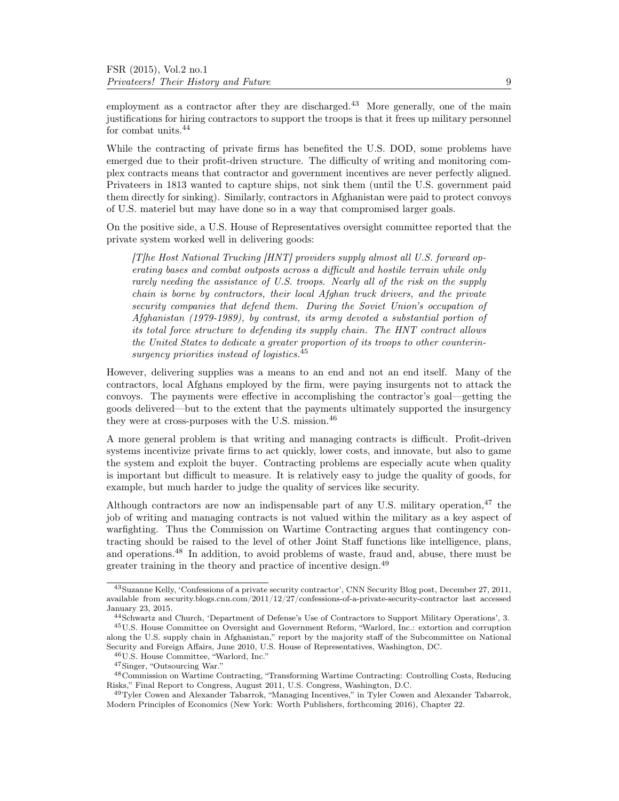employment as a contractor after they are discharged.<sup>43</sup> More generally, one of the main justifications for hiring contractors to support the troops is that it frees up military personnel for combat units.<sup>44</sup>

While the contracting of private firms has benefited the U.S. DOD, some problems have emerged due to their profit-driven structure. The difficulty of writing and monitoring complex contracts means that contractor and government incentives are never perfectly aligned. Privateers in 1813 wanted to capture ships, not sink them (until the U.S. government paid them directly for sinking). Similarly, contractors in Afghanistan were paid to protect convoys of U.S. materiel but may have done so in a way that compromised larger goals.

On the positive side, a U.S. House of Representatives oversight committee reported that the private system worked well in delivering goods:

[T]he Host National Trucking [HNT] providers supply almost all U.S. forward operating bases and combat outposts across a difficult and hostile terrain while only rarely needing the assistance of U.S. troops. Nearly all of the risk on the supply chain is borne by contractors, their local Afghan truck drivers, and the private security companies that defend them. During the Soviet Union's occupation of Afghanistan (1979-1989), by contrast, its army devoted a substantial portion of its total force structure to defending its supply chain. The HNT contract allows the United States to dedicate a greater proportion of its troops to other counterinsurgency priorities instead of logistics.<sup>45</sup>

However, delivering supplies was a means to an end and not an end itself. Many of the contractors, local Afghans employed by the firm, were paying insurgents not to attack the convoys. The payments were effective in accomplishing the contractor's goal—getting the goods delivered—but to the extent that the payments ultimately supported the insurgency they were at cross-purposes with the U.S. mission.<sup>46</sup>

A more general problem is that writing and managing contracts is difficult. Profit-driven systems incentivize private firms to act quickly, lower costs, and innovate, but also to game the system and exploit the buyer. Contracting problems are especially acute when quality is important but difficult to measure. It is relatively easy to judge the quality of goods, for example, but much harder to judge the quality of services like security.

Although contractors are now an indispensable part of any U.S. military operation,<sup>47</sup> the job of writing and managing contracts is not valued within the military as a key aspect of warfighting. Thus the Commission on Wartime Contracting argues that contingency contracting should be raised to the level of other Joint Staff functions like intelligence, plans, and operations.<sup>48</sup> In addition, to avoid problems of waste, fraud and, abuse, there must be greater training in the theory and practice of incentive design.<sup>49</sup>

<sup>43</sup>Suzanne Kelly, 'Confessions of a private security contractor', CNN Security Blog post, December 27, 2011, available from security.blogs.cnn.com/2011/12/27/confessions-of-a-private-security-contractor last accessed January 23, 2015.

<sup>44</sup>Schwartz and Church, 'Department of Defense's Use of Contractors to Support Military Operations', 3. <sup>45</sup>U.S. House Committee on Oversight and Government Reform, "Warlord, Inc.: extortion and corruption along the U.S. supply chain in Afghanistan," report by the majority staff of the Subcommittee on National

Security and Foreign Affairs, June 2010, U.S. House of Representatives, Washington, DC. <sup>46</sup>U.S. House Committee, "Warlord, Inc."

<sup>47</sup>Singer, "Outsourcing War."

<sup>48</sup>Commission on Wartime Contracting, "Transforming Wartime Contracting: Controlling Costs, Reducing Risks," Final Report to Congress, August 2011, U.S. Congress, Washington, D.C.

<sup>49</sup>Tyler Cowen and Alexander Tabarrok, "Managing Incentives," in Tyler Cowen and Alexander Tabarrok, Modern Principles of Economics (New York: Worth Publishers, forthcoming 2016), Chapter 22.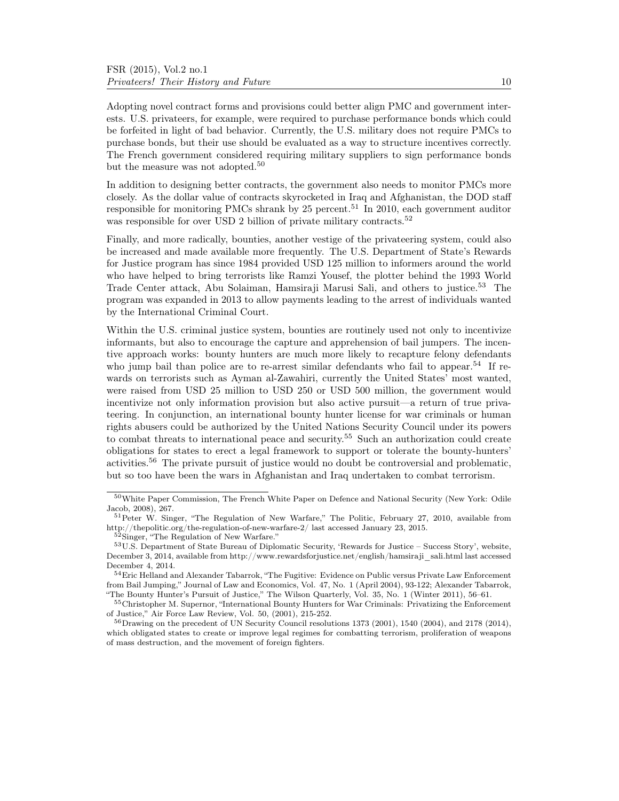Adopting novel contract forms and provisions could better align PMC and government interests. U.S. privateers, for example, were required to purchase performance bonds which could be forfeited in light of bad behavior. Currently, the U.S. military does not require PMCs to purchase bonds, but their use should be evaluated as a way to structure incentives correctly. The French government considered requiring military suppliers to sign performance bonds but the measure was not adopted.<sup>50</sup>

In addition to designing better contracts, the government also needs to monitor PMCs more closely. As the dollar value of contracts skyrocketed in Iraq and Afghanistan, the DOD staff responsible for monitoring PMCs shrank by  $25$  percent.<sup>51</sup> In 2010, each government auditor was responsible for over USD 2 billion of private military contracts.<sup>52</sup>

Finally, and more radically, bounties, another vestige of the privateering system, could also be increased and made available more frequently. The U.S. Department of State's Rewards for Justice program has since 1984 provided USD 125 million to informers around the world who have helped to bring terrorists like Ramzi Yousef, the plotter behind the 1993 World Trade Center attack, Abu Solaiman, Hamsiraji Marusi Sali, and others to justice.<sup>53</sup> The program was expanded in 2013 to allow payments leading to the arrest of individuals wanted by the International Criminal Court.

Within the U.S. criminal justice system, bounties are routinely used not only to incentivize informants, but also to encourage the capture and apprehension of bail jumpers. The incentive approach works: bounty hunters are much more likely to recapture felony defendants who jump bail than police are to re-arrest similar defendants who fail to appear.<sup>54</sup> If rewards on terrorists such as Ayman al-Zawahiri, currently the United States' most wanted, were raised from USD 25 million to USD 250 or USD 500 million, the government would incentivize not only information provision but also active pursuit—a return of true privateering. In conjunction, an international bounty hunter license for war criminals or human rights abusers could be authorized by the United Nations Security Council under its powers to combat threats to international peace and security.<sup>55</sup> Such an authorization could create obligations for states to erect a legal framework to support or tolerate the bounty-hunters' activities.<sup>56</sup> The private pursuit of justice would no doubt be controversial and problematic, but so too have been the wars in Afghanistan and Iraq undertaken to combat terrorism.

<sup>50</sup>White Paper Commission, The French White Paper on Defence and National Security (New York: Odile Jacob, 2008), 267.

<sup>51</sup>Peter W. Singer, "The Regulation of New Warfare," The Politic, February 27, 2010, available from http://thepolitic.org/the-regulation-of-new-warfare-2/ last accessed January 23, 2015.

<sup>52</sup>Singer, "The Regulation of New Warfare."

<sup>53</sup>U.S. Department of State Bureau of Diplomatic Security, 'Rewards for Justice – Success Story', website, December 3, 2014, available from http://www.rewardsforjustice.net/english/hamsiraji\_sali.html last accessed December 4, 2014.

<sup>54</sup>Eric Helland and Alexander Tabarrok, "The Fugitive: Evidence on Public versus Private Law Enforcement from Bail Jumping," Journal of Law and Economics, Vol. 47, No. 1 (April 2004), 93-122; Alexander Tabarrok, "The Bounty Hunter's Pursuit of Justice," The Wilson Quarterly, Vol. 35, No. 1 (Winter 2011), 56–61.

<sup>55</sup>Christopher M. Supernor, "International Bounty Hunters for War Criminals: Privatizing the Enforcement of Justice," Air Force Law Review, Vol. 50, (2001), 215-252.

 $56$ Drawing on the precedent of UN Security Council resolutions 1373 (2001), 1540 (2004), and 2178 (2014), which obligated states to create or improve legal regimes for combatting terrorism, proliferation of weapons of mass destruction, and the movement of foreign fighters.